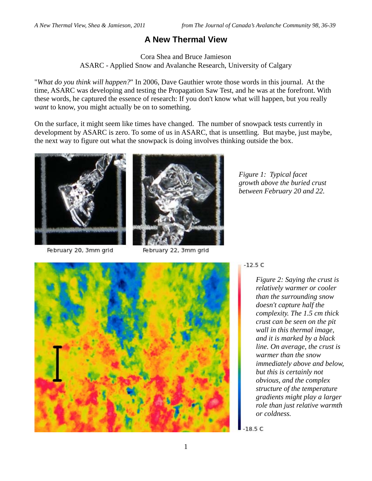## **A New Thermal View**

Cora Shea and Bruce Jamieson ASARC - Applied Snow and Avalanche Research, University of Calgary

"*What do you think will happen?*" In 2006, Dave Gauthier wrote those words in this journal. At the time, ASARC was developing and testing the Propagation Saw Test, and he was at the forefront. With these words, he captured the essence of research: If you don't know what will happen, but you really *want* to know, you might actually be on to something.

On the surface, it might seem like times have changed. The number of snowpack tests currently in development by ASARC is zero. To some of us in ASARC, that is unsettling. But maybe, just maybe, the next way to figure out what the snowpack is doing involves thinking outside the box.



February 20, 3mm grid



February 22, 3mm grid

*Figure 1: Typical facet growth above the buried crust between February 20 and 22.* 



## $-12.5C$

*Figure 2: Saying the crust is relatively warmer or cooler than the surrounding snow doesn't capture half the complexity. The 1.5 cm thick crust can be seen on the pit wall in this thermal image, and it is marked by a black line. On average, the crust is warmer than the snow immediately above and below, but this is certainly not obvious, and the complex structure of the temperature gradients might play a larger role than just relative warmth or coldness.*

 $-18.5C$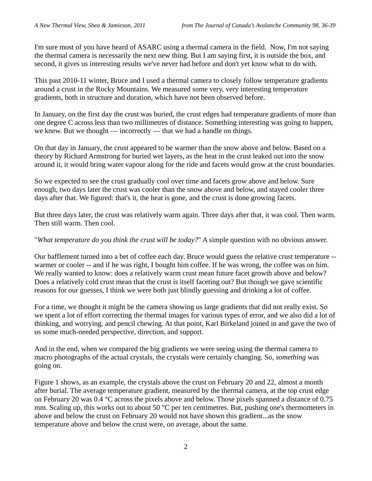I'm sure most of you have heard of ASARC using a thermal camera in the field. Now, I'm not saying the thermal camera is necessarily the next new thing. But I am saying first, it is outside the box, and second, it gives us interesting results we've never had before and don't yet know what to do with.

This past 2010-11 winter, Bruce and I used a thermal camera to closely follow temperature gradients around a crust in the Rocky Mountains. We measured some very, very interesting temperature gradients, both in structure and duration, which have not been observed before.

In January, on the first day the crust was buried, the crust edges had temperature gradients of more than one degree C across less than two millimetres of distance. Something interesting was going to happen, we knew. But we thought — incorrectly — that we had a handle on things.

On that day in January, the crust appeared to be warmer than the snow above and below. Based on a theory by Richard Armstrong for buried wet layers, as the heat in the crust leaked out into the snow around it, it would bring water vapour along for the ride and facets would grow at the crust boundaries.

So we expected to see the crust gradually cool over time and facets grow above and below. Sure enough, two days later the crust was cooler than the snow above and below, and stayed cooler three days after that. We figured: that's it, the heat is gone, and the crust is done growing facets.

But three days later, the crust was relatively warm again. Three days after that, it was cool. Then warm. Then still warm. Then cool.

"*What temperature do you think the crust will be today?*" A simple question with no obvious answer.

Our bafflement turned into a bet of coffee each day. Bruce would guess the relative crust temperature - warmer or cooler -- and if he was right, I bought him coffee. If he was wrong, the coffee was on him. We really wanted to know: does a relatively warm crust mean future facet growth above and below? Does a relatively cold crust mean that the crust is itself faceting out? But though we gave scientific reasons for our guesses, I think we were both just blindly guessing and drinking a lot of coffee.

For a time, we thought it might be the camera showing us large gradients that did not really exist. So we spent a lot of effort correcting the thermal images for various types of error, and we also did a lot of thinking, and worrying, and pencil chewing. At that point, Karl Birkeland joined in and gave the two of us some much-needed perspective, direction, and support.

And in the end, when we compared the big gradients we were seeing using the thermal camera to macro photographs of the actual crystals, the crystals were certainly changing. So, *something* was going on.

Figure 1 shows, as an example, the crystals above the crust on February 20 and 22, almost a month after burial. The average temperature gradient, measured by the thermal camera, at the top crust edge on February 20 was 0.4 °C across the pixels above and below. Those pixels spanned a distance of 0.75 mm. Scaling up, this works out to about 50 °C per ten centimetres. But, pushing one's thermometers in above and below the crust on February 20 would not have shown this gradient...as the snow temperature above and below the crust were, on average, about the same.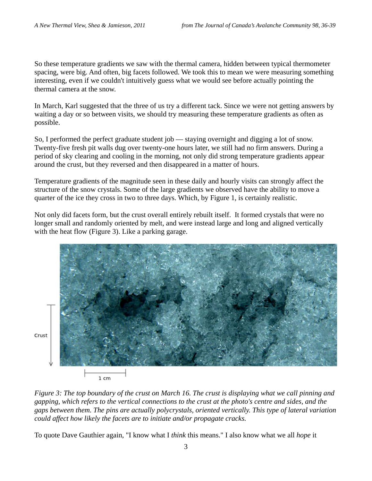So these temperature gradients we saw with the thermal camera, hidden between typical thermometer spacing, were big. And often, big facets followed. We took this to mean we were measuring something interesting, even if we couldn't intuitively guess what we would see before actually pointing the thermal camera at the snow.

In March, Karl suggested that the three of us try a different tack. Since we were not getting answers by waiting a day or so between visits, we should try measuring these temperature gradients as often as possible.

So, I performed the perfect graduate student job — staying overnight and digging a lot of snow. Twenty-five fresh pit walls dug over twenty-one hours later, we still had no firm answers. During a period of sky clearing and cooling in the morning, not only did strong temperature gradients appear around the crust, but they reversed and then disappeared in a matter of hours.

Temperature gradients of the magnitude seen in these daily and hourly visits can strongly affect the structure of the snow crystals. Some of the large gradients we observed have the ability to move a quarter of the ice they cross in two to three days. Which, by Figure 1, is certainly realistic.

Not only did facets form, but the crust overall entirely rebuilt itself. It formed crystals that were no longer small and randomly oriented by melt, and were instead large and long and aligned vertically with the heat flow (Figure 3). Like a parking garage.



*Figure 3: The top boundary of the crust on March 16. The crust is displaying what we call pinning and gapping, which refers to the vertical connections to the crust at the photo's centre and sides, and the gaps between them. The pins are actually polycrystals, oriented vertically. This type of lateral variation could affect how likely the facets are to initiate and/or propagate cracks.* 

To quote Dave Gauthier again, "I know what I *think* this means." I also know what we all *hope* it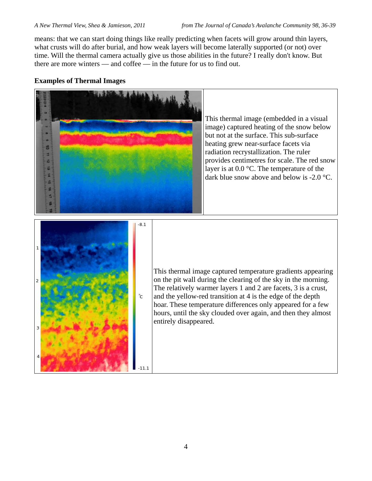means: that we can start doing things like really predicting when facets will grow around thin layers, what crusts will do after burial, and how weak layers will become laterally supported (or not) over time. Will the thermal camera actually give us those abilities in the future? I really don't know. But there are more winters — and coffee — in the future for us to find out.

## **Examples of Thermal Images**



 $-11.1$ 

provides centimetres for scale. The red snow layer is at 0.0 °C. The temperature of the dark blue snow above and below is -2.0 °C.

This thermal image captured temperature gradients appearing on the pit wall during the clearing of the sky in the morning. The relatively warmer layers 1 and 2 are facets, 3 is a crust, and the yellow-red transition at 4 is the edge of the depth hoar. These temperature differences only appeared for a few hours, until the sky clouded over again, and then they almost